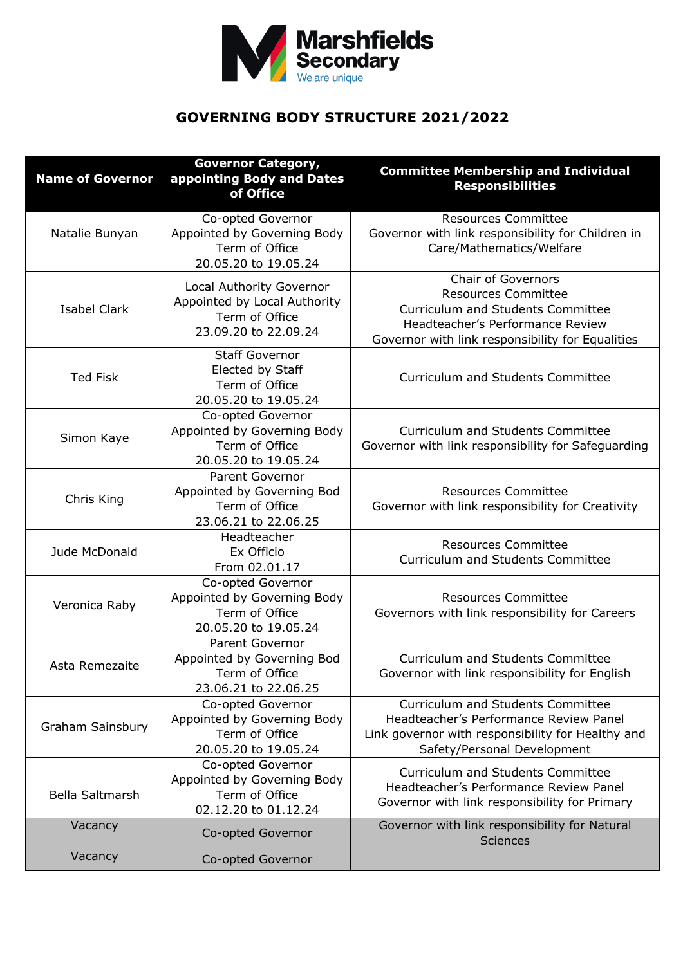

## **GOVERNING BODY STRUCTURE 2021/2022**

| <b>Name of Governor</b> | <b>Governor Category,</b><br>appointing Body and Dates<br>of Office                                | <b>Committee Membership and Individual</b><br><b>Responsibilities</b>                                                                                                                |
|-------------------------|----------------------------------------------------------------------------------------------------|--------------------------------------------------------------------------------------------------------------------------------------------------------------------------------------|
| Natalie Bunyan          | Co-opted Governor<br>Appointed by Governing Body<br>Term of Office<br>20.05.20 to 19.05.24         | <b>Resources Committee</b><br>Governor with link responsibility for Children in<br>Care/Mathematics/Welfare                                                                          |
| <b>Isabel Clark</b>     | Local Authority Governor<br>Appointed by Local Authority<br>Term of Office<br>23.09.20 to 22.09.24 | <b>Chair of Governors</b><br><b>Resources Committee</b><br>Curriculum and Students Committee<br>Headteacher's Performance Review<br>Governor with link responsibility for Equalities |
| Ted Fisk                | <b>Staff Governor</b><br>Elected by Staff<br>Term of Office<br>20.05.20 to 19.05.24                | <b>Curriculum and Students Committee</b>                                                                                                                                             |
| Simon Kaye              | Co-opted Governor<br>Appointed by Governing Body<br>Term of Office<br>20.05.20 to 19.05.24         | Curriculum and Students Committee<br>Governor with link responsibility for Safeguarding                                                                                              |
| Chris King              | <b>Parent Governor</b><br>Appointed by Governing Bod<br>Term of Office<br>23.06.21 to 22.06.25     | <b>Resources Committee</b><br>Governor with link responsibility for Creativity                                                                                                       |
| Jude McDonald           | Headteacher<br>Ex Officio<br>From 02.01.17                                                         | <b>Resources Committee</b><br>Curriculum and Students Committee                                                                                                                      |
| Veronica Raby           | Co-opted Governor<br>Appointed by Governing Body<br>Term of Office<br>20.05.20 to 19.05.24         | <b>Resources Committee</b><br>Governors with link responsibility for Careers                                                                                                         |
| Asta Remezaite          | Parent Governor<br>Appointed by Governing Bod<br>Term of Office<br>23.06.21 to 22.06.25            | <b>Curriculum and Students Committee</b><br>Governor with link responsibility for English                                                                                            |
| <b>Graham Sainsbury</b> | Co-opted Governor<br>Appointed by Governing Body<br>Term of Office<br>20.05.20 to 19.05.24         | Curriculum and Students Committee<br>Headteacher's Performance Review Panel<br>Link governor with responsibility for Healthy and<br>Safety/Personal Development                      |
| <b>Bella Saltmarsh</b>  | Co-opted Governor<br>Appointed by Governing Body<br>Term of Office<br>02.12.20 to 01.12.24         | Curriculum and Students Committee<br>Headteacher's Performance Review Panel<br>Governor with link responsibility for Primary                                                         |
| Vacancy                 | Co-opted Governor                                                                                  | Governor with link responsibility for Natural<br><b>Sciences</b>                                                                                                                     |
| Vacancy                 | Co-opted Governor                                                                                  |                                                                                                                                                                                      |